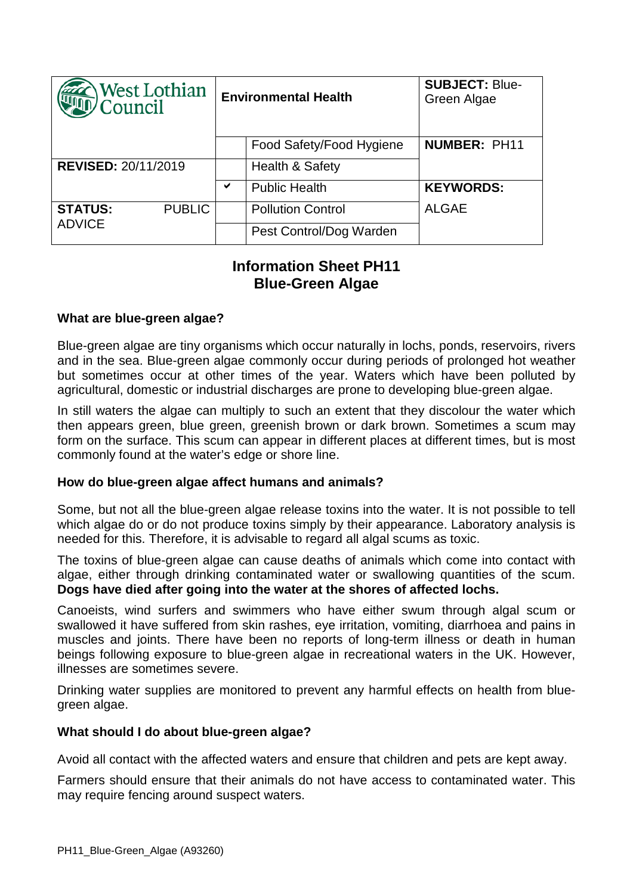| West Lothian<br>Council         |               | <b>Environmental Health</b> |                            | <b>SUBJECT: Blue-</b><br>Green Algae |
|---------------------------------|---------------|-----------------------------|----------------------------|--------------------------------------|
|                                 |               |                             | Food Safety/Food Hygiene   | <b>NUMBER: PH11</b>                  |
| <b>REVISED: 20/11/2019</b>      |               |                             | <b>Health &amp; Safety</b> |                                      |
|                                 |               | ✔                           | <b>Public Health</b>       | <b>KEYWORDS:</b>                     |
| <b>STATUS:</b><br><b>ADVICE</b> | <b>PUBLIC</b> |                             | <b>Pollution Control</b>   | <b>ALGAE</b>                         |
|                                 |               |                             | Pest Control/Dog Warden    |                                      |

# **Information Sheet PH11 Blue-Green Algae**

## **What are blue-green algae?**

Blue-green algae are tiny organisms which occur naturally in lochs, ponds, reservoirs, rivers and in the sea. Blue-green algae commonly occur during periods of prolonged hot weather but sometimes occur at other times of the year. Waters which have been polluted by agricultural, domestic or industrial discharges are prone to developing blue-green algae.

In still waters the algae can multiply to such an extent that they discolour the water which then appears green, blue green, greenish brown or dark brown. Sometimes a scum may form on the surface. This scum can appear in different places at different times, but is most commonly found at the water's edge or shore line.

## **How do blue-green algae affect humans and animals?**

Some, but not all the blue-green algae release toxins into the water. It is not possible to tell which algae do or do not produce toxins simply by their appearance. Laboratory analysis is needed for this. Therefore, it is advisable to regard all algal scums as toxic.

The toxins of blue-green algae can cause deaths of animals which come into contact with algae, either through drinking contaminated water or swallowing quantities of the scum. **Dogs have died after going into the water at the shores of affected lochs.**

Canoeists, wind surfers and swimmers who have either swum through algal scum or swallowed it have suffered from skin rashes, eye irritation, vomiting, diarrhoea and pains in muscles and joints. There have been no reports of long-term illness or death in human beings following exposure to blue-green algae in recreational waters in the UK. However, illnesses are sometimes severe.

Drinking water supplies are monitored to prevent any harmful effects on health from bluegreen algae.

## **What should I do about blue-green algae?**

Avoid all contact with the affected waters and ensure that children and pets are kept away.

Farmers should ensure that their animals do not have access to contaminated water. This may require fencing around suspect waters.